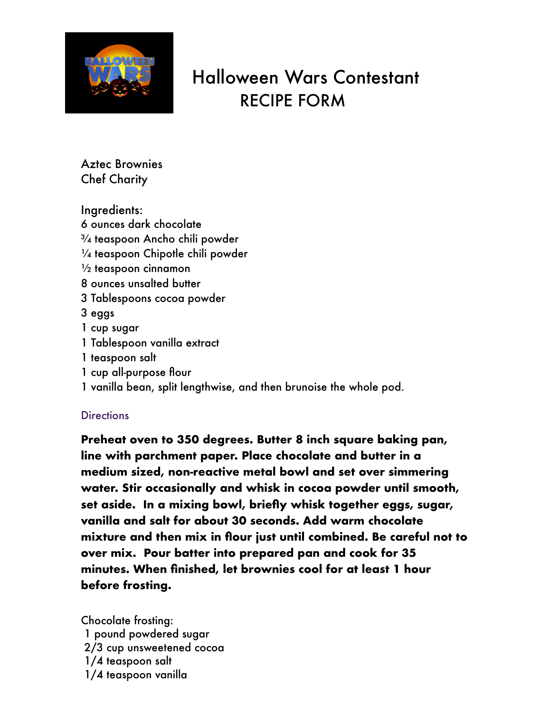

## Halloween Wars Contestant RECIPE FORM

Aztec Brownies Chef Charity

Ingredients: 6 ounces dark chocolate ¾ teaspoon Ancho chili powder ¼ teaspoon Chipotle chili powder  $\frac{1}{2}$  teaspoon cinnamon 8 ounces unsalted butter 3 Tablespoons cocoa powder 3 eggs 1 cup sugar 1 Tablespoon vanilla extract 1 teaspoon salt 1 cup all-purpose flour 1 vanilla bean, split lengthwise, and then brunoise the whole pod.

## **Directions**

**Preheat oven to 350 degrees. Butter 8 inch square baking pan, line with parchment paper. Place chocolate and butter in a medium sized, non-reactive metal bowl and set over simmering water. Stir occasionally and whisk in cocoa powder until smooth, set aside. In a mixing bowl, briefly whisk together eggs, sugar, vanilla and salt for about 30 seconds. Add warm chocolate mixture and then mix in flour just until combined. Be careful not to over mix. Pour batter into prepared pan and cook for 35 minutes. When finished, let brownies cool for at least 1 hour before frosting.** 

Chocolate frosting: 1 pound powdered sugar 2/3 cup unsweetened cocoa 1/4 teaspoon salt 1/4 teaspoon vanilla